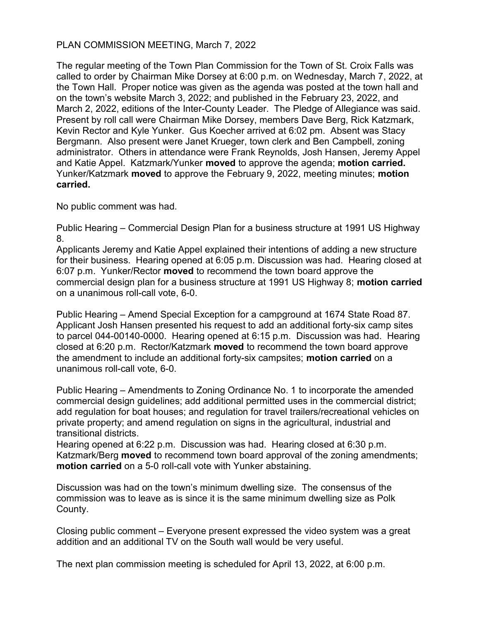## PLAN COMMISSION MEETING, March 7, 2022

The regular meeting of the Town Plan Commission for the Town of St. Croix Falls was called to order by Chairman Mike Dorsey at 6:00 p.m. on Wednesday, March 7, 2022, at the Town Hall. Proper notice was given as the agenda was posted at the town hall and on the town's website March 3, 2022; and published in the February 23, 2022, and March 2, 2022, editions of the Inter-County Leader. The Pledge of Allegiance was said. Present by roll call were Chairman Mike Dorsey, members Dave Berg, Rick Katzmark, Kevin Rector and Kyle Yunker. Gus Koecher arrived at 6:02 pm. Absent was Stacy Bergmann. Also present were Janet Krueger, town clerk and Ben Campbell, zoning administrator. Others in attendance were Frank Reynolds, Josh Hansen, Jeremy Appel and Katie Appel. Katzmark/Yunker **moved** to approve the agenda; **motion carried.** Yunker/Katzmark moved to approve the February 9, 2022, meeting minutes; motion carried.

No public comment was had.

Public Hearing – Commercial Design Plan for a business structure at 1991 US Highway 8.

Applicants Jeremy and Katie Appel explained their intentions of adding a new structure for their business. Hearing opened at 6:05 p.m. Discussion was had. Hearing closed at 6:07 p.m. Yunker/Rector moved to recommend the town board approve the commercial design plan for a business structure at 1991 US Highway 8; motion carried on a unanimous roll-call vote, 6-0.

Public Hearing – Amend Special Exception for a campground at 1674 State Road 87. Applicant Josh Hansen presented his request to add an additional forty-six camp sites to parcel 044-00140-0000. Hearing opened at 6:15 p.m. Discussion was had. Hearing closed at 6:20 p.m. Rector/Katzmark moved to recommend the town board approve the amendment to include an additional forty-six campsites; motion carried on a unanimous roll-call vote, 6-0.

Public Hearing – Amendments to Zoning Ordinance No. 1 to incorporate the amended commercial design guidelines; add additional permitted uses in the commercial district; add regulation for boat houses; and regulation for travel trailers/recreational vehicles on private property; and amend regulation on signs in the agricultural, industrial and transitional districts.

Hearing opened at 6:22 p.m. Discussion was had. Hearing closed at 6:30 p.m. Katzmark/Berg moved to recommend town board approval of the zoning amendments; motion carried on a 5-0 roll-call vote with Yunker abstaining.

Discussion was had on the town's minimum dwelling size. The consensus of the commission was to leave as is since it is the same minimum dwelling size as Polk County.

Closing public comment – Everyone present expressed the video system was a great addition and an additional TV on the South wall would be very useful.

The next plan commission meeting is scheduled for April 13, 2022, at 6:00 p.m.